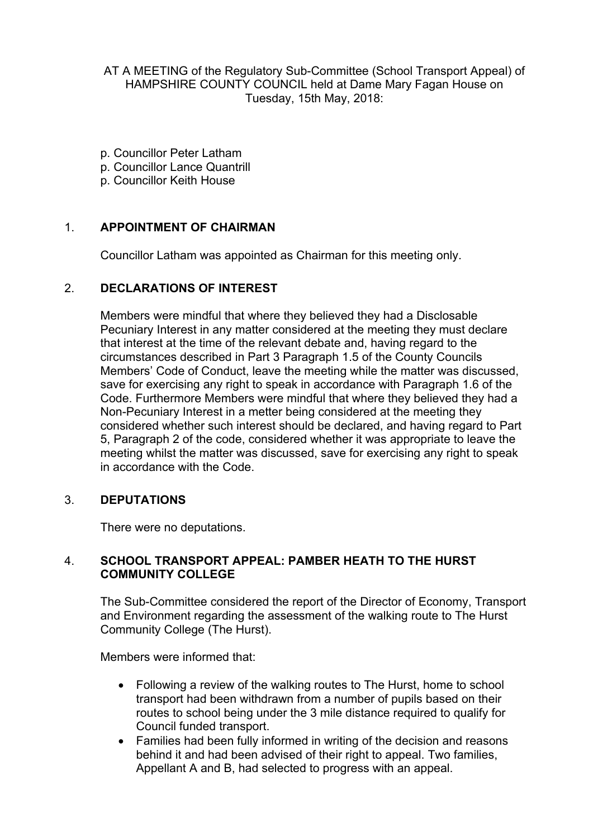AT A MEETING of the Regulatory Sub-Committee (School Transport Appeal) of HAMPSHIRE COUNTY COUNCIL held at Dame Mary Fagan House on Tuesday, 15th May, 2018:

- p. Councillor Peter Latham
- p. Councillor Lance Quantrill
- p. Councillor Keith House

### 1. **APPOINTMENT OF CHAIRMAN**

Councillor Latham was appointed as Chairman for this meeting only.

### 2. **DECLARATIONS OF INTEREST**

Members were mindful that where they believed they had a Disclosable Pecuniary Interest in any matter considered at the meeting they must declare that interest at the time of the relevant debate and, having regard to the circumstances described in Part 3 Paragraph 1.5 of the County Councils Members' Code of Conduct, leave the meeting while the matter was discussed, save for exercising any right to speak in accordance with Paragraph 1.6 of the Code. Furthermore Members were mindful that where they believed they had a Non-Pecuniary Interest in a metter being considered at the meeting they considered whether such interest should be declared, and having regard to Part 5, Paragraph 2 of the code, considered whether it was appropriate to leave the meeting whilst the matter was discussed, save for exercising any right to speak in accordance with the Code.

### 3. **DEPUTATIONS**

There were no deputations.

### 4. **SCHOOL TRANSPORT APPEAL: PAMBER HEATH TO THE HURST COMMUNITY COLLEGE**

The Sub-Committee considered the report of the Director of Economy, Transport and Environment regarding the assessment of the walking route to The Hurst Community College (The Hurst).

Members were informed that:

- Following a review of the walking routes to The Hurst, home to school transport had been withdrawn from a number of pupils based on their routes to school being under the 3 mile distance required to qualify for Council funded transport.
- Families had been fully informed in writing of the decision and reasons behind it and had been advised of their right to appeal. Two families, Appellant A and B, had selected to progress with an appeal.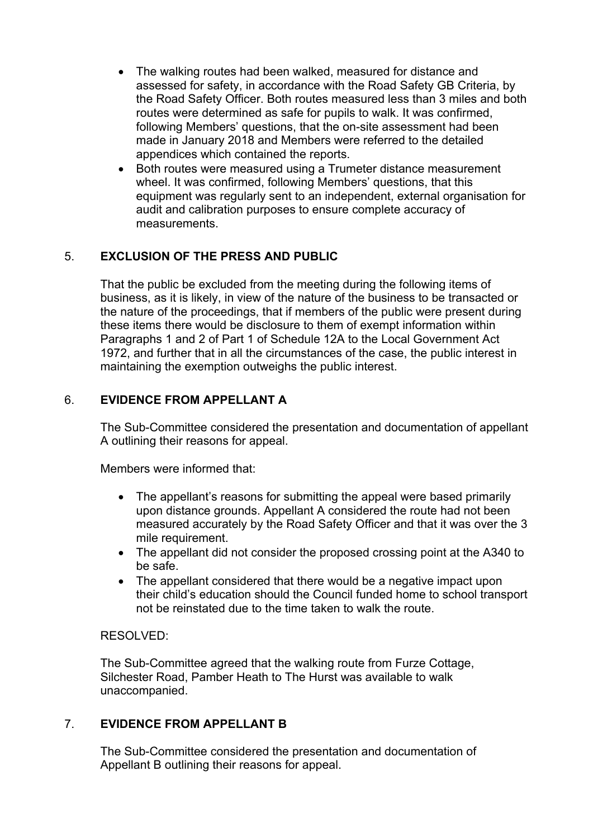- The walking routes had been walked, measured for distance and assessed for safety, in accordance with the Road Safety GB Criteria, by the Road Safety Officer. Both routes measured less than 3 miles and both routes were determined as safe for pupils to walk. It was confirmed, following Members' questions, that the on-site assessment had been made in January 2018 and Members were referred to the detailed appendices which contained the reports.
- Both routes were measured using a Trumeter distance measurement wheel. It was confirmed, following Members' questions, that this equipment was regularly sent to an independent, external organisation for audit and calibration purposes to ensure complete accuracy of measurements.

# 5. **EXCLUSION OF THE PRESS AND PUBLIC**

That the public be excluded from the meeting during the following items of business, as it is likely, in view of the nature of the business to be transacted or the nature of the proceedings, that if members of the public were present during these items there would be disclosure to them of exempt information within Paragraphs 1 and 2 of Part 1 of Schedule 12A to the Local Government Act 1972, and further that in all the circumstances of the case, the public interest in maintaining the exemption outweighs the public interest.

## 6. **EVIDENCE FROM APPELLANT A**

The Sub-Committee considered the presentation and documentation of appellant A outlining their reasons for appeal.

Members were informed that:

- The appellant's reasons for submitting the appeal were based primarily upon distance grounds. Appellant A considered the route had not been measured accurately by the Road Safety Officer and that it was over the 3 mile requirement.
- The appellant did not consider the proposed crossing point at the A340 to be safe.
- The appellant considered that there would be a negative impact upon their child's education should the Council funded home to school transport not be reinstated due to the time taken to walk the route.

### RESOLVED:

The Sub-Committee agreed that the walking route from Furze Cottage, Silchester Road, Pamber Heath to The Hurst was available to walk unaccompanied.

### 7. **EVIDENCE FROM APPELLANT B**

The Sub-Committee considered the presentation and documentation of Appellant B outlining their reasons for appeal.